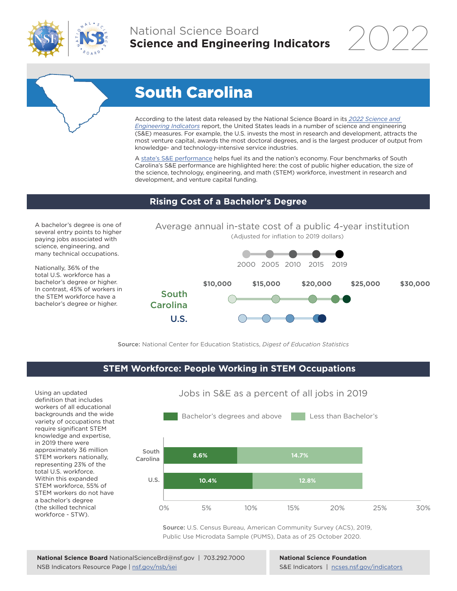

# National Science Board **Science and Engineering Indicators**

2022

# South Carolina

According to the latest data released by the National Science Board in its *2022 Science and Engineering Indicators* report, the United States leads in a number of science and engineering (S&E) measures. For example, the U.S. invests the most in research and development, attracts the most venture capital, awards the most doctoral degrees, and is the largest producer of output from knowledge- and technology-intensive service industries.

A state's S&E performance helps fuel its and the nation's economy. Four benchmarks of South Carolina's S&E performance are highlighted here: the cost of public higher education, the size of the science, technology, engineering, and math (STEM) workforce, investment in research and development, and venture capital funding.

### **Rising Cost of a Bachelor's Degree**

A bachelor's degree is one of several entry points to higher paying jobs associated with science, engineering, and many technical occupations.

Nationally, 36% of the total U.S. workforce has a bachelor's degree or higher. In contrast, 45% of workers in the STEM workforce have a bachelor's degree or higher.



Source: National Center for Education Statistics, *Digest of Education Statistics*

## **STEM Workforce: People Working in STEM Occupations**

Using an updated definition that includes workers of all educational backgrounds and the wide variety of occupations that require significant STEM knowledge and expertise, in 2019 there were approximately 36 million STEM workers nationally, representing 23% of the total U.S. workforce. Within this expanded STEM workforce, 55% of STEM workers do not have a bachelor's degree (the skilled technical workforce - STW).



Source: U.S. Census Bureau, American Community Survey (ACS), 2019, Public Use Microdata Sample (PUMS), Data as of 25 October 2020.

**National Science Foundation** S&E Indicators | ncses.nsf.gov/indicators

# Jobs in S&E as a percent of all jobs in 2019